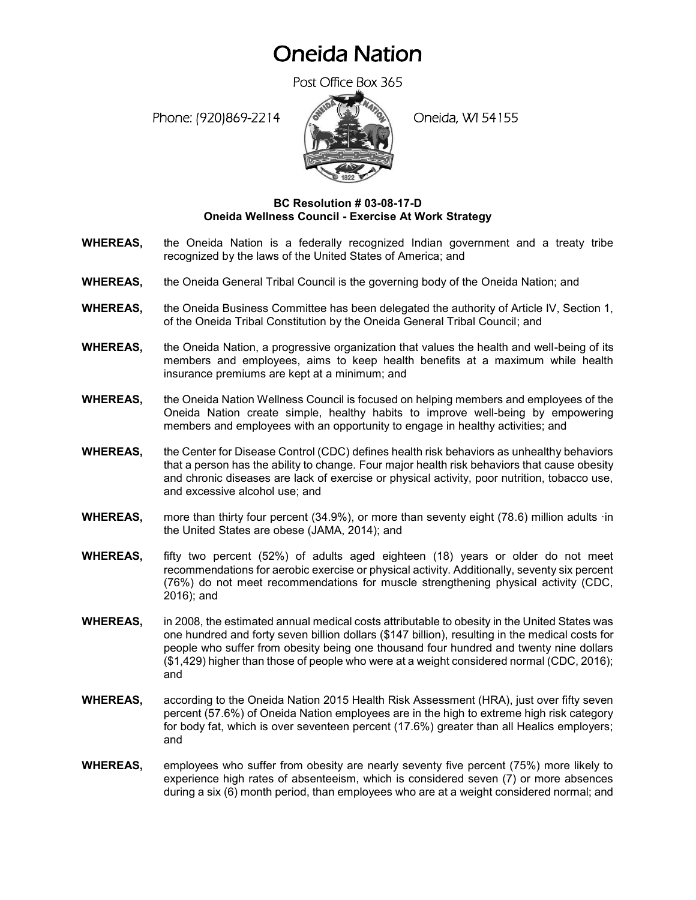## Oneida Nation

Post Office Box 365

Phone: (920)869-2214 (Oneida, WI 54155



## **BC Resolution # 03-08-17-D Oneida Wellness Council - Exercise At Work Strategy**

- **WHEREAS,** the Oneida Nation is a federally recognized Indian government and a treaty tribe recognized by the laws of the United States of America; and
- **WHEREAS,** the Oneida General Tribal Council is the governing body of the Oneida Nation; and
- **WHEREAS,** the Oneida Business Committee has been delegated the authority of Article IV, Section 1, of the Oneida Tribal Constitution by the Oneida General Tribal Council; and
- **WHEREAS,** the Oneida Nation, a progressive organization that values the health and well-being of its members and employees, aims to keep health benefits at a maximum while health insurance premiums are kept at a minimum; and
- **WHEREAS,** the Oneida Nation Wellness Council is focused on helping members and employees of the Oneida Nation create simple, healthy habits to improve well-being by empowering members and employees with an opportunity to engage in healthy activities; and
- **WHEREAS,** the Center for Disease Control (CDC) defines health risk behaviors as unhealthy behaviors that a person has the ability to change. Four major health risk behaviors that cause obesity and chronic diseases are lack of exercise or physical activity, poor nutrition, tobacco use, and excessive alcohol use; and
- **WHEREAS,** more than thirty four percent (34.9%), or more than seventy eight (78.6) million adults ·in the United States are obese (JAMA, 2014); and
- **WHEREAS,** fifty two percent (52%) of adults aged eighteen (18) years or older do not meet recommendations for aerobic exercise or physical activity. Additionally, seventy six percent (76%) do not meet recommendations for muscle strengthening physical activity (CDC, 2016); and
- **WHEREAS,** in 2008, the estimated annual medical costs attributable to obesity in the United States was one hundred and forty seven billion dollars (\$147 billion), resulting in the medical costs for people who suffer from obesity being one thousand four hundred and twenty nine dollars (\$1,429) higher than those of people who were at a weight considered normal (CDC, 2016); and
- **WHEREAS,** according to the Oneida Nation 2015 Health Risk Assessment (HRA), just over fifty seven percent (57.6%) of Oneida Nation employees are in the high to extreme high risk category for body fat, which is over seventeen percent (17.6%) greater than all Healics employers; and
- **WHEREAS,** employees who suffer from obesity are nearly seventy five percent (75%) more likely to experience high rates of absenteeism, which is considered seven (7) or more absences during a six (6) month period, than employees who are at a weight considered normal; and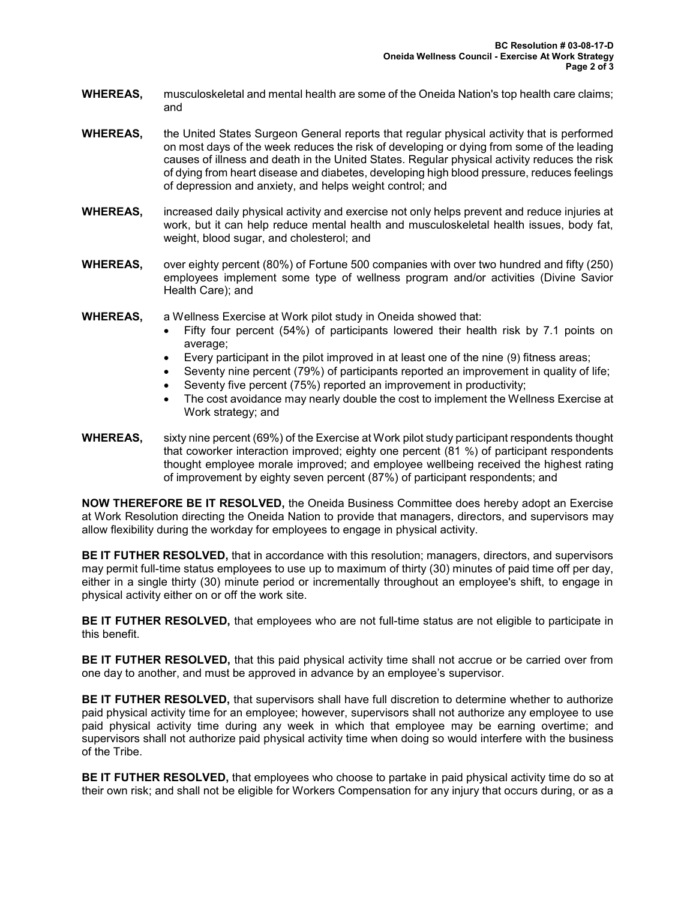- **WHEREAS,** musculoskeletal and mental health are some of the Oneida Nation's top health care claims; and
- **WHEREAS,** the United States Surgeon General reports that regular physical activity that is performed on most days of the week reduces the risk of developing or dying from some of the leading causes of illness and death in the United States. Regular physical activity reduces the risk of dying from heart disease and diabetes, developing high blood pressure, reduces feelings of depression and anxiety, and helps weight control; and
- **WHEREAS,** increased daily physical activity and exercise not only helps prevent and reduce injuries at work, but it can help reduce mental health and musculoskeletal health issues, body fat, weight, blood sugar, and cholesterol; and
- **WHEREAS,** over eighty percent (80%) of Fortune 500 companies with over two hundred and fifty (250) employees implement some type of wellness program and/or activities (Divine Savior Health Care); and
- **WHEREAS,** a Wellness Exercise at Work pilot study in Oneida showed that:
	- Fifty four percent (54%) of participants lowered their health risk by 7.1 points on average;
	- Every participant in the pilot improved in at least one of the nine (9) fitness areas;
	- Seventy nine percent (79%) of participants reported an improvement in quality of life;
	- Seventy five percent (75%) reported an improvement in productivity;
	- The cost avoidance may nearly double the cost to implement the Wellness Exercise at Work strategy; and
- **WHEREAS,** sixty nine percent (69%) of the Exercise at Work pilot study participant respondents thought that coworker interaction improved; eighty one percent (81 %) of participant respondents thought employee morale improved; and employee wellbeing received the highest rating of improvement by eighty seven percent (87%) of participant respondents; and

**NOW THEREFORE BE IT RESOLVED,** the Oneida Business Committee does hereby adopt an Exercise at Work Resolution directing the Oneida Nation to provide that managers, directors, and supervisors may allow flexibility during the workday for employees to engage in physical activity.

**BE IT FUTHER RESOLVED,** that in accordance with this resolution; managers, directors, and supervisors may permit full-time status employees to use up to maximum of thirty (30) minutes of paid time off per day, either in a single thirty (30) minute period or incrementally throughout an employee's shift, to engage in physical activity either on or off the work site.

**BE IT FUTHER RESOLVED,** that employees who are not full-time status are not eligible to participate in this benefit.

**BE IT FUTHER RESOLVED,** that this paid physical activity time shall not accrue or be carried over from one day to another, and must be approved in advance by an employee's supervisor.

**BE IT FUTHER RESOLVED,** that supervisors shall have full discretion to determine whether to authorize paid physical activity time for an employee; however, supervisors shall not authorize any employee to use paid physical activity time during any week in which that employee may be earning overtime; and supervisors shall not authorize paid physical activity time when doing so would interfere with the business of the Tribe.

**BE IT FUTHER RESOLVED,** that employees who choose to partake in paid physical activity time do so at their own risk; and shall not be eligible for Workers Compensation for any injury that occurs during, or as a